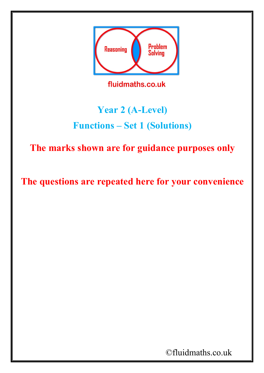

## **Year 2 (A-Level) Functions – Set 1 (Solutions)**

**The marks shown are for guidance purposes only**

**The questions are repeated here for your convenience**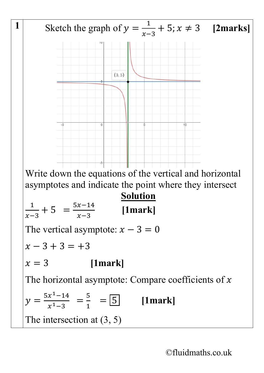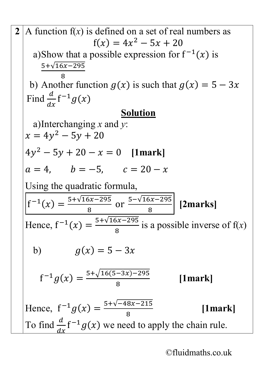2 A function f(x) is defined on a set of real numbers as  
\n
$$
f(x) = 4x^2 - 5x + 20
$$
\na) Show that a possible expression for  $f^{-1}(x)$  is  
\n
$$
\frac{5 + \sqrt{16x - 295}}{8}
$$
\nb) Another function  $g(x)$  is such that  $g(x) = 5 - 3x$   
\nFind  $\frac{d}{dx}f^{-1}g(x)$   
\na) Interchanging x and y:  
\n $x = 4y^2 - 5y + 20$   
\n $4y^2 - 5y + 20 - x = 0$  [1mark]  
\n $a = 4$ ,  $b = -5$ ,  $c = 20 - x$   
\nUsing the quadratic formula,  
\n
$$
f^{-1}(x) = \frac{5 + \sqrt{16x - 295}}{8}
$$
 or  $\frac{5 - \sqrt{16x - 295}}{8}$  [2marks]  
\nHence,  $f^{-1}(x) = \frac{5 + \sqrt{16x - 295}}{8}$  is a possible inverse of f(x)  
\nb)  $g(x) = 5 - 3x$   
\n
$$
f^{-1}g(x) = \frac{5 + \sqrt{16(5 - 3x) - 295}}{8}
$$
 [1mark]  
\nHence,  $f^{-1}g(x) = \frac{5 + \sqrt{-48x - 215}}{8}$  [1mark]  
\nTo find  $\frac{d}{dx}f^{-1}g(x)$  we need to apply the chain rule.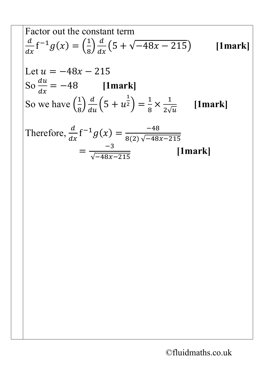Factor out the constant term  
\n
$$
\frac{d}{dx}f^{-1}g(x) = \left(\frac{1}{8}\right)\frac{d}{dx}\left(5 + \sqrt{-48x - 215}\right)
$$
\n[1mark]  
\nLet  $u = -48x - 215$   
\nSo  $\frac{du}{dx} = -48$  [1mark]  
\nSo we have  $\left(\frac{1}{8}\right)\frac{d}{du}\left(5 + u^{\frac{1}{2}}\right) = \frac{1}{8} \times \frac{1}{2\sqrt{u}}$  [1mark]  
\nTherefore,  $\frac{d}{dx}f^{-1}g(x) = \frac{-48}{8(2)\sqrt{-48x - 215}}$   
\n
$$
= \frac{-3}{\sqrt{-48x - 215}}
$$
 [1mark]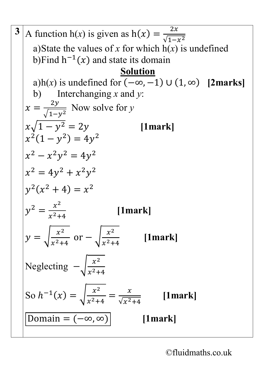3 A function h(x) is given as h(x) = 
$$
\frac{2x}{\sqrt{1-x^2}}
$$
  
\na)State the values of x for which h(x) is undefined  
\nb)Find h<sup>-1</sup>(x) and state its domain  
\n3h(x) is undefined for  $(-\infty, -1)$  U (1,  $\infty$ ) [2marks]  
\nb) Interchanging x and y:  
\n $x = \frac{2y}{\sqrt{1-y^2}}$  Now solve for y  
\n $x\sqrt{1-y^2} = 2y$  [1mark]  
\n $x^2(1-y^2) = 4y^2$   
\n $x^2 - x^2y^2 = 4y^2$   
\n $x^2 = 4y^2 + x^2y^2$   
\n $y^2(x^2 + 4) = x^2$   
\n $y^2 = \frac{x^2}{x^2+4}$  [1mark]  
\n $y = \sqrt{\frac{x^2}{x^2+4}}$  [1mark]  
\nNeglecting  $-\sqrt{\frac{x^2}{x^2+4}}$  [1mark]  
\n $\frac{\text{Solve } -\sqrt{\frac{x^2}{x^2+4}}}{\text{Solve } -\sqrt{\frac{x^2}{x^2+4}}}$  [1mark]  
\n $\frac{\text{Domain } = (-\infty, \infty)}{\text{Domain } = (-\infty, \infty)}$  [1mark]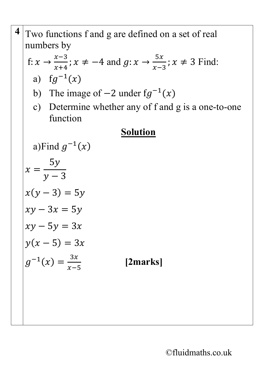| Two functions f and g are defined on a set of real                                                        |
|-----------------------------------------------------------------------------------------------------------|
| numbers by                                                                                                |
| f: $x \rightarrow \frac{x-3}{x+4}$ ; $x \neq -4$ and $g: x \rightarrow \frac{5x}{x-3}$ ; $x \neq 3$ Find: |
| a) $fg^{-1}(x)$                                                                                           |
| b) The image of $-2$ under $fg^{-1}(x)$                                                                   |
| Determine whether any of f and g is a one-to-one<br>$\mathbf{C}$<br>function                              |
| <b>Solution</b>                                                                                           |
| a)Find $g^{-1}(x)$                                                                                        |
| $x = \frac{5y}{y-3}$                                                                                      |
| $x(y-3) = 5y$                                                                                             |
| $xy - 3x = 5y$                                                                                            |
| $xy - 5y = 3x$                                                                                            |
| $y(x-5) = 3x$                                                                                             |
| $g^{-1}(x) = \frac{3x}{x-5}$<br>[2marks]                                                                  |
|                                                                                                           |
|                                                                                                           |
|                                                                                                           |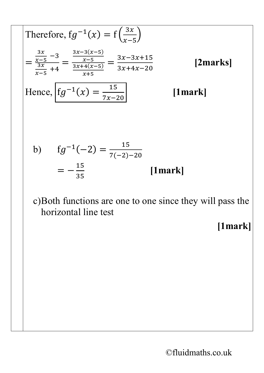Therefore, 
$$
fg^{-1}(x) = f\left(\frac{3x}{x-5}\right)
$$
  
\n
$$
= \frac{\frac{3x}{x-5} - 3}{\frac{3x}{x+4}} = \frac{\frac{3x-3(x-5)}{x+5}}{\frac{x+4(x-5)}{x+5}} = \frac{3x-3x+15}{3x+4x-20}
$$
 [2marks]  
\nHence,  $fg^{-1}(x) = \frac{15}{7x-20}$  [1mark]  
\nb)  $fg^{-1}(-2) = \frac{15}{7(-2)-20}$   
\n
$$
= -\frac{15}{35}
$$
 [1mark]  
\nc)Both functions are one to one since they will pass the horizontal line test [1mark]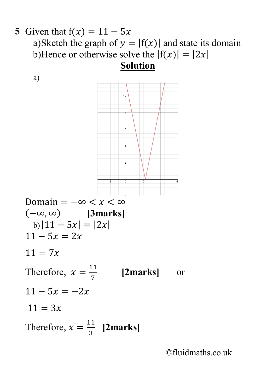